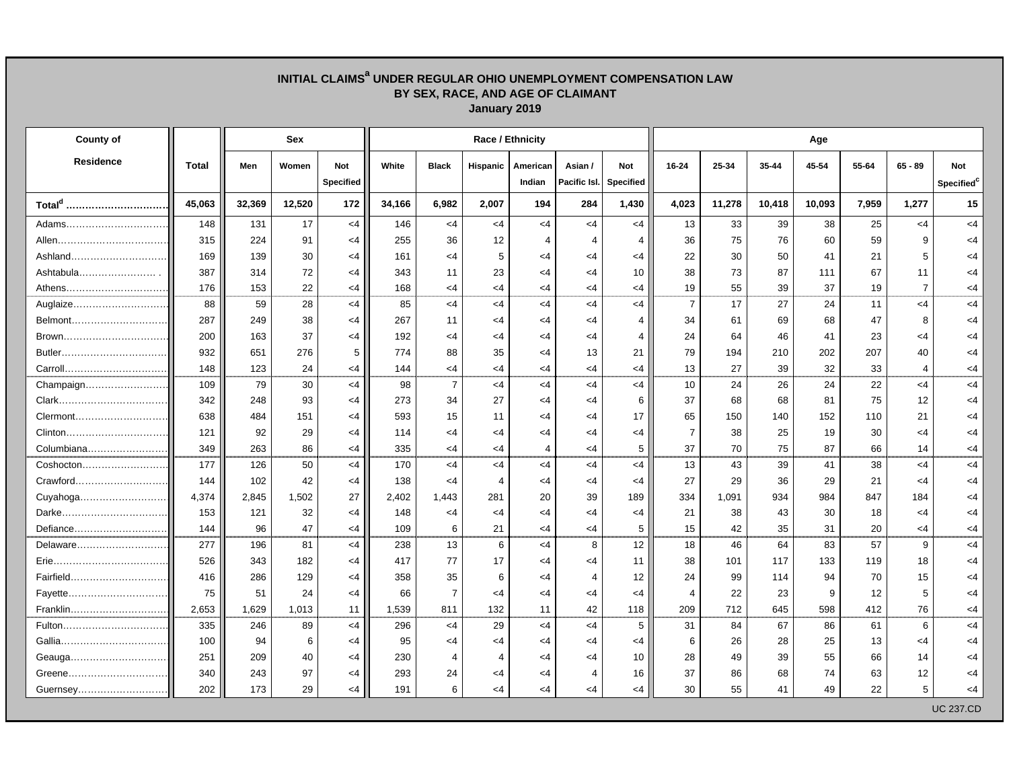## **INITIAL CLAIMSa UNDER REGULAR OHIO UNEMPLOYMENT COMPENSATION LAW BY SEX, RACE, AND AGE OF CLAIMANT January 2019**

| <b>County of</b>   |        | Sex    |        |                  | Race / Ethnicity |                |                |                |                |                  |                | Age       |        |        |       |                |                        |  |  |  |
|--------------------|--------|--------|--------|------------------|------------------|----------------|----------------|----------------|----------------|------------------|----------------|-----------|--------|--------|-------|----------------|------------------------|--|--|--|
| <b>Residence</b>   | Total  | Men    | Women  | Not              | White            | <b>Black</b>   | Hispanic       | American       | Asian /        | Not              | 16-24          | $25 - 34$ | 35-44  | 45-54  | 55-64 | $65 - 89$      | <b>Not</b>             |  |  |  |
|                    |        |        |        | <b>Specified</b> |                  |                |                | Indian         | Pacific Isl.   | <b>Specified</b> |                |           |        |        |       |                | Specified <sup>c</sup> |  |  |  |
| Total <sup>d</sup> | 45,063 | 32,369 | 12,520 | 172              | 34,166           | 6,982          | 2,007          | 194            | 284            | 1,430            | 4,023          | 11,278    | 10,418 | 10,093 | 7,959 | 1,277          | 15                     |  |  |  |
| Adams              | 148    | 131    | 17     | $<$ 4            | 146              | $<$ 4          | $<$ 4          | $<$ 4          | $<$ 4          | $<$ 4            | 13             | 33        | 39     | 38     | 25    | $<$ 4          | $<$ 4                  |  |  |  |
|                    | 315    | 224    | 91     | $<$ 4            | 255              | 36             | 12             | $\overline{4}$ | $\overline{4}$ | $\overline{4}$   | 36             | 75        | 76     | 60     | 59    | 9              | $<$ 4                  |  |  |  |
|                    | 169    | 139    | 30     | $<$ 4            | 161              | <4             | 5              | $<$ 4          | $<$ 4          | <4               | 22             | 30        | 50     | 41     | 21    | 5              | $<$ 4                  |  |  |  |
| Ashtabula          | 387    | 314    | 72     | $<$ 4            | 343              | 11             | 23             | $<$ 4          | $<$ 4          | 10               | 38             | 73        | 87     | 111    | 67    | 11             | $<$ 4                  |  |  |  |
| Athens             | 176    | 153    | 22     | $<$ 4            | 168              | $<$ 4          | $<$ 4          | $<$ 4          | $<$ 4          | <4               | 19             | 55        | 39     | 37     | 19    | $\overline{7}$ | <4                     |  |  |  |
| Auglaize           | 88     | 59     | 28     | $<$ 4            | 85               | <4             | $<$ 4          | <4             | $<$ 4          | <4               | $\overline{7}$ | 17        | 27     | 24     | 11    | $<$ 4          | $<$ 4                  |  |  |  |
| Belmont            | 287    | 249    | 38     | $<$ 4            | 267              | 11             | $<$ 4          | $<$ 4          | $<$ 4          | $\overline{4}$   | 34             | 61        | 69     | 68     | 47    | 8              | $<$ 4                  |  |  |  |
| Brown              | 200    | 163    | 37     | $<$ 4            | 192              | $<$ 4          | $<$ 4          | $<$ 4          | $<$ 4          | 4                | 24             | 64        | 46     | 41     | 23    | <4             | <4                     |  |  |  |
|                    | 932    | 651    | 276    | 5                | 774              | 88             | 35             | $<$ 4          | 13             | 21               | 79             | 194       | 210    | 202    | 207   | 40             | $<$ 4                  |  |  |  |
| Carroll            | 148    | 123    | 24     | $\leq$ 4         | 144              | $<$ 4          | $<$ 4          | $<$ 4          | $<$ 4          | <4               | 13             | 27        | 39     | 32     | 33    | $\overline{4}$ | <4                     |  |  |  |
| Champaign          | 109    | 79     | 30     | $<$ 4            | 98               | $\overline{7}$ | $<$ 4          | $<$ 4          | $<$ 4          | <4               | 10             | 24        | 26     | 24     | 22    | <4             | $<$ 4                  |  |  |  |
|                    | 342    | 248    | 93     | $\leq$ 4         | 273              | 34             | 27             | $<$ 4          | $\leq$ 4       | 6                | 37             | 68        | 68     | 81     | 75    | 12             | <4                     |  |  |  |
| Clermont           | 638    | 484    | 151    | $<$ 4            | 593              | 15             | 11             | $<$ 4          | $<$ 4          | 17               | 65             | 150       | 140    | 152    | 110   | 21             | <4                     |  |  |  |
| Clinton            | 121    | 92     | 29     | $<$ 4            | 114              | $<$ 4          | $<$ 4          | $<$ 4          | $<$ 4          | $<$ 4            | $\overline{7}$ | 38        | 25     | 19     | 30    | $<$ 4          | <4                     |  |  |  |
| Columbiana         | 349    | 263    | 86     | $\leq$ 4         | 335              | $<$ 4          | $<$ 4          | $\overline{4}$ | $<$ 4          | 5                | 37             | 70        | 75     | 87     | 66    | 14             | $<$ 4                  |  |  |  |
| Coshocton          | 177    | 126    | 50     | $<$ 4            | 170              | $<$ 4          | $<$ 4          | $<$ 4          | <4             | <4               | 13             | 43        | 39     | 41     | 38    | <4             | $<$ 4                  |  |  |  |
| Crawford           | 144    | 102    | 42     | $<$ 4            | 138              | $<$ 4          | $\overline{4}$ | $<$ 4          | $<$ 4          | <4               | 27             | 29        | 36     | 29     | 21    | $<$ 4          | $<$ 4                  |  |  |  |
| Cuyahoga           | 4,374  | 2,845  | 1,502  | 27               | 2,402            | 1,443          | 281            | 20             | 39             | 189              | 334            | 1,091     | 934    | 984    | 847   | 184            | $<$ 4                  |  |  |  |
| Darke              | 153    | 121    | 32     | <4               | 148              | $<$ 4          | $<$ 4          | <4             | $<$ 4          | <4               | 21             | 38        | 43     | 30     | 18    | $<$ 4          | <4                     |  |  |  |
| Defiance           | 144    | 96     | 47     | $\leq$ 4         | 109              | 6              | 21             | $<$ 4          | $<$ 4          | 5                | 15             | 42        | 35     | 31     | 20    | <4             | <4                     |  |  |  |
| Delaware           | 277    | 196    | 81     | $<$ 4            | 238              | 13             | 6              | <4             | 8              | 12               | 18             | 46        | 64     | 83     | 57    | 9              | $<$ 4                  |  |  |  |
|                    | 526    | 343    | 182    | $<$ 4            | 417              | 77             | 17             | $<$ 4          | $<$ 4          | 11               | 38             | 101       | 117    | 133    | 119   | 18             | <4                     |  |  |  |
| Fairfield          | 416    | 286    | 129    | $\leq$ 4         | 358              | 35             | 6              | $<$ 4          | 4              | 12               | 24             | 99        | 114    | 94     | 70    | 15             | $<$ 4                  |  |  |  |
| Fayette            | 75     | 51     | 24     | $<$ 4            | 66               | $\overline{7}$ | $<$ 4          | $<$ 4          | $<$ 4          | $<$ 4            | $\overline{4}$ | 22        | 23     | 9      | 12    | 5              | $<$ 4                  |  |  |  |
| Franklin           | 2,653  | 1,629  | 1,013  | 11               | 1,539            | 811            | 132            | 11             | 42             | 118              | 209            | 712       | 645    | 598    | 412   | 76             | $<$ 4                  |  |  |  |
| Fulton             | 335    | 246    | 89     | $<$ 4            | 296              | $<$ 4          | 29             | $<$ 4          | $<$ 4          | 5                | 31             | 84        | 67     | 86     | 61    | 6              | $<$ 4                  |  |  |  |
|                    | 100    | 94     | 6      | $\leq$ 4         | 95               | $<$ 4          | $<$ 4          | $<$ 4          | $<$ 4          | <4               | 6              | 26        | 28     | 25     | 13    | <4             | <4                     |  |  |  |
|                    | 251    | 209    | 40     | $<$ 4            | 230              | $\overline{4}$ | 4              | $<$ 4          | $<$ 4          | 10               | 28             | 49        | 39     | 55     | 66    | 14             | <4                     |  |  |  |
| Greene             | 340    | 243    | 97     | $<$ 4            | 293              | 24             | $<$ 4          | $<$ 4          | 4              | 16               | 37             | 86        | 68     | 74     | 63    | 12             | <4                     |  |  |  |
| Guernsey           | 202    | 173    | 29     | $<$ 4            | 191              | 6              | $<$ 4          | $<$ 4          | $<$ 4          | <4               | 30             | 55        | 41     | 49     | 22    | 5              | <4                     |  |  |  |
|                    |        |        |        |                  |                  |                |                |                |                |                  |                |           |        |        |       |                | <b>UC 237.CD</b>       |  |  |  |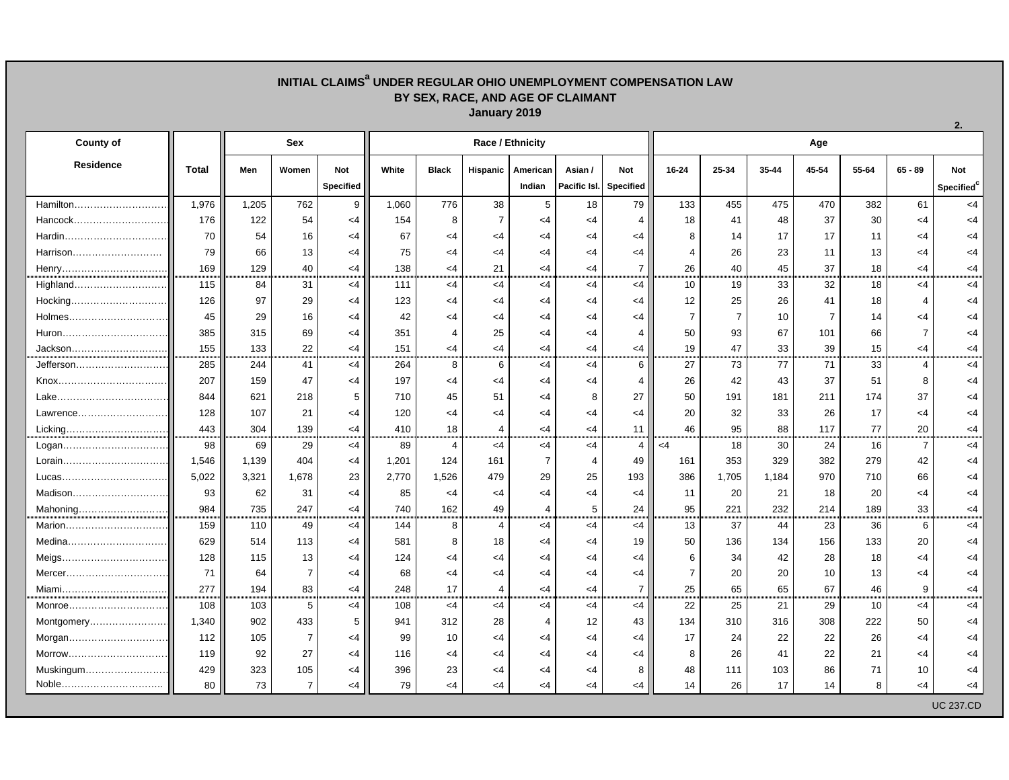## **INITIAL CLAIMSa UNDER REGULAR OHIO UNEMPLOYMENT COMPENSATION LAW BY SEX, RACE, AND AGE OF CLAIMANT January 2019**

| <b>County of</b>  |              | <b>Sex</b> |                |            | Race / Ethnicity |                |                |                |                        |                |                | Age            |       |                |       |                         |                        |  |  |  |
|-------------------|--------------|------------|----------------|------------|------------------|----------------|----------------|----------------|------------------------|----------------|----------------|----------------|-------|----------------|-------|-------------------------|------------------------|--|--|--|
| Residence         | <b>Total</b> | Men        | Women          | <b>Not</b> | White            | <b>Black</b>   | Hispanic       | American       | Asian /                | Not            | $16 - 24$      | 25-34          | 35-44 | 45-54          | 55-64 | $65 - 89$               | <b>Not</b>             |  |  |  |
|                   |              |            |                | Specified  |                  |                |                | Indian         | Pacific Isl. Specified |                |                |                |       |                |       |                         | Specified <sup>c</sup> |  |  |  |
| Hamilton          | 1,976        | 1,205      | 762            | 9          | 1,060            | 776            | 38             | 5              | 18                     | 79             | 133            | 455            | 475   | 470            | 382   | 61                      | $<$ 4                  |  |  |  |
| Hancock           | 176          | 122        | 54             | $<$ 4      | 154              | 8              | $\overline{7}$ | $<$ 4          | $<$ 4                  | 4              | 18             | 41             | 48    | 37             | 30    | $<$ 4                   | $<$ 4                  |  |  |  |
| Hardin            | 70           | 54         | 16             | $<$ 4      | 67               | $<$ 4          | $<$ 4          | $<$ 4          | $<$ 4                  | $<$ 4          | 8              | 14             | 17    | 17             | 11    | $<$ 4                   | $<$ 4                  |  |  |  |
| Harrison          | 79           | 66         | 13             | $<$ 4      | 75               | $\leq 4$       | $<$ 4          | $<$ 4          | <4                     | $<$ 4          | 4              | 26             | 23    | 11             | 13    | $<$ 4                   | <4                     |  |  |  |
| Henry             | 169          | 129        | 40             | $<$ 4      | 138              | $<$ 4          | 21             | $<$ 4          | $<$ 4                  | $\overline{7}$ | 26             | 40             | 45    | 37             | 18    | $<$ 4                   | $<$ 4                  |  |  |  |
| Highland          | 115          | 84         | 31             | $<$ 4      | 111              | $<$ 4          | $<$ 4          | $<$ 4          | <4                     | $<$ 4          | 10             | 19             | 33    | 32             | 18    | $<$ 4                   | $<$ 4                  |  |  |  |
| Hocking           | 126          | 97         | 29             | $<$ 4      | 123              | $<$ 4          | $<$ 4          | $<$ 4          | $<$ 4                  | $<$ 4          | 12             | 25             | 26    | 41             | 18    | $\overline{4}$          | $<$ 4                  |  |  |  |
| Holmes            | 45           | 29         | 16             | $<$ 4      | 42               | $<$ 4          | $<$ 4          | $<$ 4          | <4                     | $<$ 4          | $\overline{7}$ | $\overline{7}$ | 10    | $\overline{7}$ | 14    | $<$ 4                   | $<$ 4                  |  |  |  |
| Huron             | 385          | 315        | 69             | $<$ 4      | 351              | $\overline{4}$ | 25             | $<$ 4          | <4                     | 4              | 50             | 93             | 67    | 101            | 66    | $\overline{7}$          | <4                     |  |  |  |
| Jackson           | 155          | 133        | 22             | $<$ 4      | 151              | $<$ 4          | $<$ 4          | $\leq 4$       | <4                     | <4             | 19             | 47             | 33    | 39             | 15    | <4                      | <4                     |  |  |  |
| Jefferson         | 285          | 244        | 41             | $<$ 4      | 264              | 8              | 6              | $<$ 4          | $<$ 4                  | 6              | 27             | 73             | 77    | 71             | 33    | $\overline{\mathbf{4}}$ | <4                     |  |  |  |
|                   | 207          | 159        | 47             | $<$ 4      | 197              | $<$ 4          | <4             | $<$ 4          | $<$ 4                  | 4              | 26             | 42             | 43    | 37             | 51    | 8                       | $<$ 4                  |  |  |  |
|                   | 844          | 621        | 218            | 5          | 710              | 45             | 51             | $<$ 4          | 8                      | 27             | 50             | 191            | 181   | 211            | 174   | 37                      | $<$ 4                  |  |  |  |
| Lawrence          | 128          | 107        | 21             | $<$ 4      | 120              | $<$ 4          | $<$ 4          | $<$ 4          | <4                     | $<$ 4          | 20             | 32             | 33    | 26             | 17    | <4                      | $<$ 4                  |  |  |  |
| Licking           | 443          | 304        | 139            | $<$ 4      | 410              | 18             | 4              | $\leq 4$       | <4                     | 11             | 46             | 95             | 88    | 117            | 77    | 20                      | <4                     |  |  |  |
| Logan             | 98           | 69         | 29             | $<$ 4      | 89               | $\overline{4}$ | <4             | <4             | $<$ 4                  | 4              | $<$ 4          | 18             | 30    | 24             | 16    | $\overline{7}$          | <4                     |  |  |  |
|                   | 1,546        | 1,139      | 404            | $<$ 4      | 1,201            | 124            | 161            | $\overline{7}$ | $\overline{4}$         | 49             | 161            | 353            | 329   | 382            | 279   | 42                      | $<$ 4                  |  |  |  |
| Lucas             | 5,022        | 3,321      | 1,678          | 23         | 2,770            | 1,526          | 479            | 29             | 25                     | 193            | 386            | 1,705          | 1,184 | 970            | 710   | 66                      | $<$ 4                  |  |  |  |
|                   | 93           | 62         | 31             | $<$ 4      | 85               | $\leq$ 4       | $<$ 4          | $<$ 4          | <4                     | $<$ 4          | 11             | 20             | 21    | 18             | 20    | $<$ 4                   | $<$ 4                  |  |  |  |
| Mahoning          | 984          | 735        | 247            | $<$ 4      | 740              | 162            | 49             | $\overline{4}$ | 5                      | 24             | 95             | 221            | 232   | 214            | 189   | 33                      | <4                     |  |  |  |
| Marion            | 159          | 110        | 49             | $<$ 4      | 144              | 8              | $\overline{4}$ | $<$ 4          | $<$ 4                  | <4             | 13             | 37             | 44    | 23             | 36    | 6                       | $<$ 4                  |  |  |  |
| Medina            | 629          | 514        | 113            | $<$ 4      | 581              | 8              | 18             | $<$ 4          | $<$ 4                  | 19             | 50             | 136            | 134   | 156            | 133   | 20                      | $<$ 4                  |  |  |  |
| Meigs             | 128          | 115        | 13             | $<$ 4      | 124              | $<$ 4          | <4             | $<$ 4          | <4                     | $<$ 4          | 6              | 34             | 42    | 28             | 18    | <4                      | $<$ 4                  |  |  |  |
| Mercer            | 71           | 64         | $\overline{7}$ | $<$ 4      | 68               | $<$ 4          | $\leq 4$       | $<$ 4          | $<$ 4                  | $<$ 4          | $\overline{7}$ | 20             | 20    | 10             | 13    | $<$ 4                   | $<$ 4                  |  |  |  |
| Miami             | 277          | 194        | 83             | $<$ 4      | 248              | 17             | $\overline{4}$ | $\leq 4$       | $<$ 4                  | $\overline{7}$ | 25             | 65             | 65    | 67             | 46    | 9                       | <4                     |  |  |  |
| Monroe…………………………… | 108          | 103        | 5              | <4         | 108              | $<$ 4          | $<$ 4          | $<$ 4          | $<$ 4                  | $<$ 4          | 22             | 25             | 21    | 29             | 10    | <4                      | $<$ 4                  |  |  |  |
| Montgomery        | 1,340        | 902        | 433            | 5          | 941              | 312            | 28             | 4              | 12                     | 43             | 134            | 310            | 316   | 308            | 222   | 50                      | $<$ 4                  |  |  |  |
| Morgan            | 112          | 105        | $\overline{7}$ | $<$ 4      | 99               | 10             | $<$ 4          | $<$ 4          | $<$ 4                  | $<$ 4          | 17             | 24             | 22    | 22             | 26    | $<$ 4                   | $<$ 4                  |  |  |  |
| Morrow            | 119          | 92         | 27             | $<$ 4      | 116              | $<$ 4          | $<$ 4          | $<$ 4          | $<$ 4                  | $<$ 4          | 8              | 26             | 41    | 22             | 21    | $<$ 4                   | $<$ 4                  |  |  |  |
| Muskingum         | 429          | 323        | 105            | $<$ 4      | 396              | 23             | $<$ 4          | $<$ 4          | <4                     | 8              | 48             | 111            | 103   | 86             | 71    | 10                      | <4                     |  |  |  |
| Noble             | 80           | 73         | $\overline{7}$ | $<$ 4      | 79               | $<$ 4          | $<$ 4          | $<$ 4          | <4                     | <4             | 14             | 26             | 17    | 14             | 8     | $<$ 4                   | <4                     |  |  |  |
|                   |              |            |                |            |                  |                |                |                |                        |                |                |                |       |                |       |                         | <b>UC 237.CD</b>       |  |  |  |

**2.**